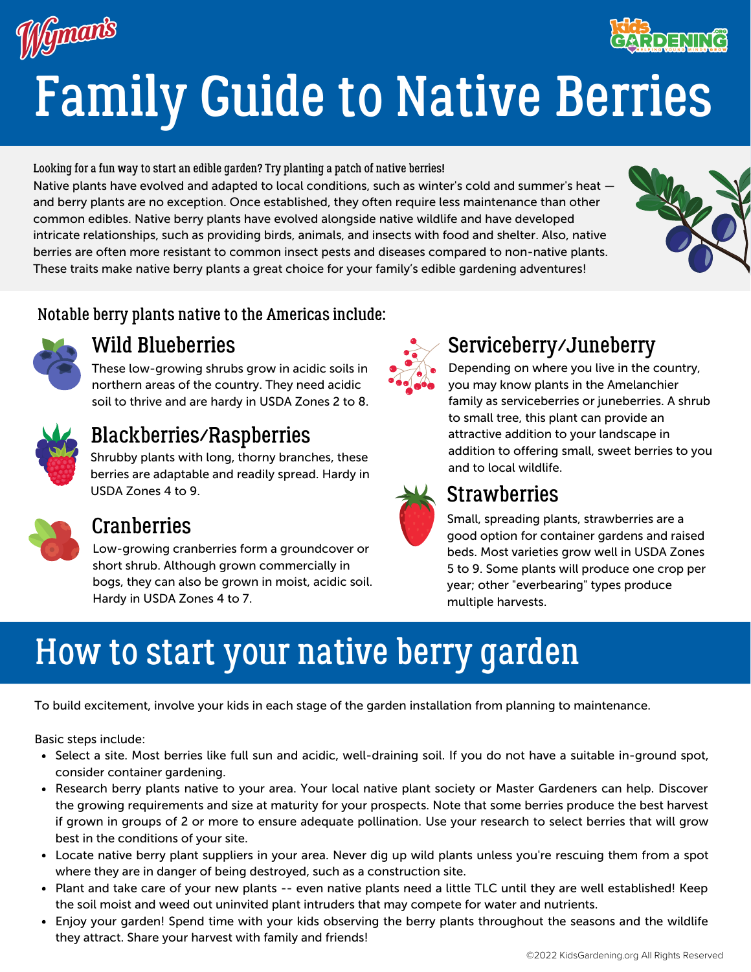



Looking for a fun way to start an edible garden? Try planting a patch of native berries! Native plants have evolved and adapted to local conditions, such as winter's cold and summer's heat and berry plants are no exception. Once established, they often require less maintenance than other common edibles. Native berry plants have evolved alongside native wildlife and have developed intricate relationships, such as providing birds, animals, and insects with food and shelter. Also, native berries are often more resistant to common insect pests and diseases compared to non-native plants. These traits make native berry plants a great choice for your family's edible gardening adventures!



**THINE CF.R** 

#### Notable berry plants native to the Americas include:



## Wild Blueberries

These low-growing shrubs grow in acidic soils in northern areas of the country. They need acidic soil to thrive and are hardy in USDA Zones 2 to 8.



## Blackberries/Raspberries

Shrubby plants with long, thorny branches, these berries are adaptable and readily spread. Hardy in USDA Zones 4 to 9.



#### **Cranberries**

Low-growing cranberries form a groundcover or short shrub. Although grown commercially in bogs, they can also be grown in moist, acidic soil. Hardy in USDA Zones 4 to 7.



# Serviceberry/Juneberry

Depending on where you live in the country, you may know plants in the Amelanchier family as serviceberries or juneberries. A shrub to small tree, this plant can provide an attractive addition to your landscape in addition to offering small, sweet berries to you and to local wildlife.



## **Strawberries**

Small, spreading plants, strawberries are a good option for container gardens and raised beds. Most varieties grow well in USDA Zones 5 to 9. Some plants will produce one crop per year; other "everbearing" types produce multiple harvests.

# How to start your native berry garden

To build excitement, involve your kids in each stage of the garden installation from planning to maintenance.

Basic steps include:

- Select a site. Most berries like full sun and acidic, well-draining soil. If you do not have a suitable in-ground spot, consider container gardening.
- Research berry plants native to your area. Your local native plant society or Master Gardeners can help. Discover the growing requirements and size at maturity for your prospects. Note that some berries produce the best harvest if grown in groups of 2 or more to ensure adequate pollination. Use your research to select berries that will grow best in the conditions of your site.
- Locate native berry plant suppliers in your area. Never dig up wild plants unless you're rescuing them from a spot where they are in danger of being destroyed, such as a construction site.
- Plant and take care of your new plants -- even native plants need a little TLC until they are well established! Keep the soil moist and weed out uninvited plant intruders that may compete for water and nutrients.
- Enjoy your garden! Spend time with your kids observing the berry plants throughout the seasons and the wildlife they attract. Share your harvest with family and friends!